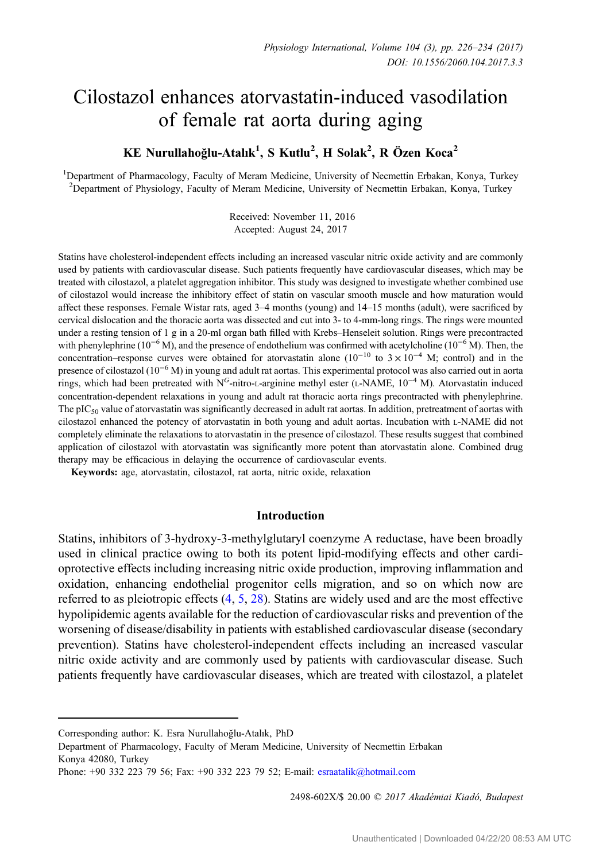# Cilostazol enhances atorvastatin-induced vasodilation of female rat aorta during aging

KE Nurullahoğlu-Atalık $^1$ , S Kutlu $^2$ , H Solak $^2$ , R Özen Koca $^2$ 

<sup>1</sup>Department of Pharmacology, Faculty of Meram Medicine, University of Necmettin Erbakan, Konya, Turkey <sup>2</sup>Department of Physiology, Faculty of Meram Medicine, University of Necmettin Erbakan, Konya, Turkey

> Received: November 11, 2016 Accepted: August 24, 2017

Statins have cholesterol-independent effects including an increased vascular nitric oxide activity and are commonly used by patients with cardiovascular disease. Such patients frequently have cardiovascular diseases, which may be treated with cilostazol, a platelet aggregation inhibitor. This study was designed to investigate whether combined use of cilostazol would increase the inhibitory effect of statin on vascular smooth muscle and how maturation would affect these responses. Female Wistar rats, aged 3–4 months (young) and 14–15 months (adult), were sacrificed by cervical dislocation and the thoracic aorta was dissected and cut into 3- to 4-mm-long rings. The rings were mounted under a resting tension of 1 g in a 20-ml organ bath filled with Krebs–Henseleit solution. Rings were precontracted with phenylephrine ( $10^{-6}$  M), and the presence of endothelium was confirmed with acetylcholine ( $10^{-6}$  M). Then, the concentration–response curves were obtained for atorvastatin alone ( $10^{-10}$  to  $3 \times 10^{-4}$  M; control) and in the presence of cilostazol ( $10^{-6}$  M) in young and adult rat aortas. This experimental protocol was also carried out in aorta rings, which had been pretreated with  $N^G$ -nitro-L-arginine methyl ester (L-NAME,  $10^{-4}$  M). Atorvastatin induced concentration-dependent relaxations in young and adult rat thoracic aorta rings precontracted with phenylephrine. The  $pIC_{50}$  value of atorvastatin was significantly decreased in adult rat aortas. In addition, pretreatment of aortas with cilostazol enhanced the potency of atorvastatin in both young and adult aortas. Incubation with L-NAME did not completely eliminate the relaxations to atorvastatin in the presence of cilostazol. These results suggest that combined application of cilostazol with atorvastatin was significantly more potent than atorvastatin alone. Combined drug therapy may be efficacious in delaying the occurrence of cardiovascular events.

Keywords: age, atorvastatin, cilostazol, rat aorta, nitric oxide, relaxation

## Introduction

Statins, inhibitors of 3-hydroxy-3-methylglutaryl coenzyme A reductase, have been broadly used in clinical practice owing to both its potent lipid-modifying effects and other cardioprotective effects including increasing nitric oxide production, improving inflammation and oxidation, enhancing endothelial progenitor cells migration, and so on which now are referred to as pleiotropic effects ([4](#page-7-0), [5](#page-7-0), [28](#page-8-0)). Statins are widely used and are the most effective hypolipidemic agents available for the reduction of cardiovascular risks and prevention of the worsening of disease/disability in patients with established cardiovascular disease (secondary prevention). Statins have cholesterol-independent effects including an increased vascular nitric oxide activity and are commonly used by patients with cardiovascular disease. Such patients frequently have cardiovascular diseases, which are treated with cilostazol, a platelet

Corresponding author: K. Esra Nurullahoğlu-Atalık, PhD

2498-602X/\$ 20.00 © 2017 Akadémiai Kiadó, Budapest

Department of Pharmacology, Faculty of Meram Medicine, University of Necmettin Erbakan Konya 42080, Turkey

Phone: +90 332 223 79 56; Fax: +90 332 223 79 52; E-mail: [esraatalik@hotmail.com](mailto:esraatalik@hotmail.com)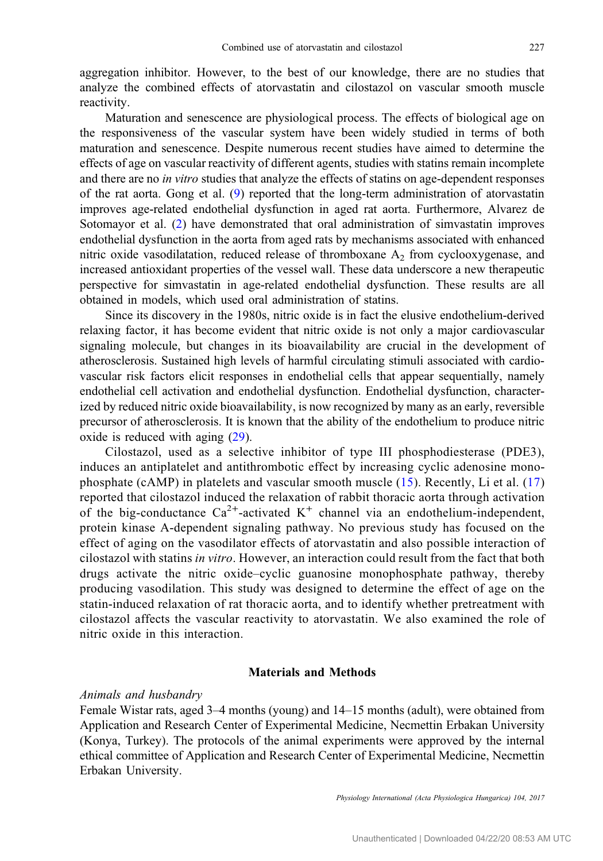aggregation inhibitor. However, to the best of our knowledge, there are no studies that analyze the combined effects of atorvastatin and cilostazol on vascular smooth muscle reactivity.

Maturation and senescence are physiological process. The effects of biological age on the responsiveness of the vascular system have been widely studied in terms of both maturation and senescence. Despite numerous recent studies have aimed to determine the effects of age on vascular reactivity of different agents, studies with statins remain incomplete and there are no *in vitro* studies that analyze the effects of statins on age-dependent responses of the rat aorta. Gong et al. ([9\)](#page-7-0) reported that the long-term administration of atorvastatin improves age-related endothelial dysfunction in aged rat aorta. Furthermore, Alvarez de Sotomayor et al. ([2\)](#page-7-0) have demonstrated that oral administration of simvastatin improves endothelial dysfunction in the aorta from aged rats by mechanisms associated with enhanced nitric oxide vasodilatation, reduced release of thromboxane  $A<sub>2</sub>$  from cyclooxygenase, and increased antioxidant properties of the vessel wall. These data underscore a new therapeutic perspective for simvastatin in age-related endothelial dysfunction. These results are all obtained in models, which used oral administration of statins.

Since its discovery in the 1980s, nitric oxide is in fact the elusive endothelium-derived relaxing factor, it has become evident that nitric oxide is not only a major cardiovascular signaling molecule, but changes in its bioavailability are crucial in the development of atherosclerosis. Sustained high levels of harmful circulating stimuli associated with cardiovascular risk factors elicit responses in endothelial cells that appear sequentially, namely endothelial cell activation and endothelial dysfunction. Endothelial dysfunction, characterized by reduced nitric oxide bioavailability, is now recognized by many as an early, reversible precursor of atherosclerosis. It is known that the ability of the endothelium to produce nitric oxide is reduced with aging ([29\)](#page-8-0).

Cilostazol, used as a selective inhibitor of type III phosphodiesterase (PDE3), induces an antiplatelet and antithrombotic effect by increasing cyclic adenosine monophosphate (cAMP) in platelets and vascular smooth muscle [\(15\)](#page-7-0). Recently, Li et al. [\(17\)](#page-7-0) reported that cilostazol induced the relaxation of rabbit thoracic aorta through activation of the big-conductance  $Ca^{2+}$ -activated K<sup>+</sup> channel via an endothelium-independent, protein kinase A-dependent signaling pathway. No previous study has focused on the effect of aging on the vasodilator effects of atorvastatin and also possible interaction of cilostazol with statins in vitro. However, an interaction could result from the fact that both drugs activate the nitric oxide–cyclic guanosine monophosphate pathway, thereby producing vasodilation. This study was designed to determine the effect of age on the statin-induced relaxation of rat thoracic aorta, and to identify whether pretreatment with cilostazol affects the vascular reactivity to atorvastatin. We also examined the role of nitric oxide in this interaction.

#### Materials and Methods

#### Animals and husbandry

Female Wistar rats, aged 3–4 months (young) and 14–15 months (adult), were obtained from Application and Research Center of Experimental Medicine, Necmettin Erbakan University (Konya, Turkey). The protocols of the animal experiments were approved by the internal ethical committee of Application and Research Center of Experimental Medicine, Necmettin Erbakan University.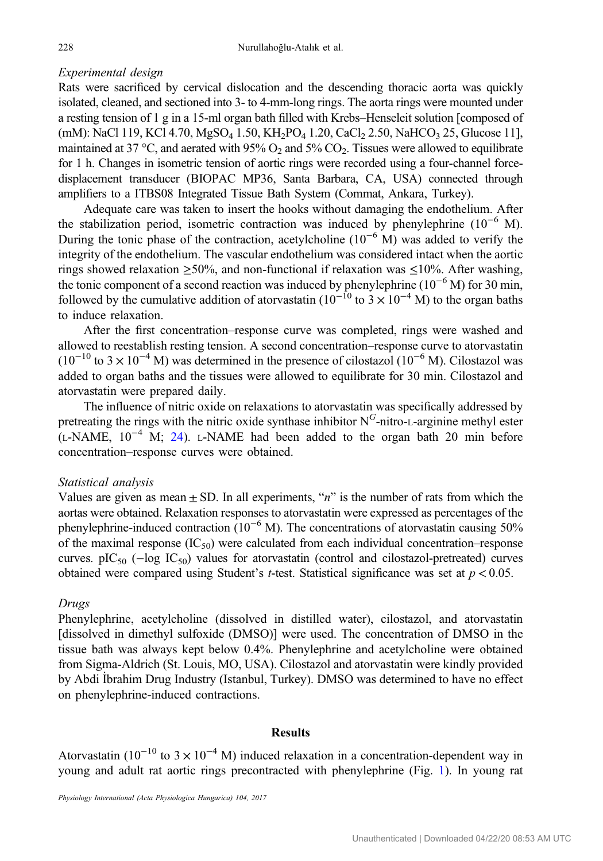## Experimental design

Rats were sacrificed by cervical dislocation and the descending thoracic aorta was quickly isolated, cleaned, and sectioned into 3- to 4-mm-long rings. The aorta rings were mounted under a resting tension of 1 g in a 15-ml organ bath filled with Krebs–Henseleit solution [composed of  $(mM)$ : NaCl 119, KCl 4.70, MgSO<sub>4</sub> 1.50, KH<sub>2</sub>PO<sub>4</sub> 1.20, CaCl<sub>2</sub> 2.50, NaHCO<sub>3</sub> 25, Glucose 11], maintained at 37 °C, and aerated with 95% O<sub>2</sub> and 5% CO<sub>2</sub>. Tissues were allowed to equilibrate for 1 h. Changes in isometric tension of aortic rings were recorded using a four-channel forcedisplacement transducer (BIOPAC MP36, Santa Barbara, CA, USA) connected through amplifiers to a ITBS08 Integrated Tissue Bath System (Commat, Ankara, Turkey).

Adequate care was taken to insert the hooks without damaging the endothelium. After the stabilization period, isometric contraction was induced by phenylephrine  $(10^{-6}$  M). During the tonic phase of the contraction, acetylcholine  $(10^{-6}$  M) was added to verify the integrity of the endothelium. The vascular endothelium was considered intact when the aortic rings showed relaxation ≥50%, and non-functional if relaxation was ≤10%. After washing, the tonic component of a second reaction was induced by phenylephrine ( $10^{-6}$  M) for 30 min, followed by the cumulative addition of atorvastatin ( $10^{-10}$  to  $3 \times 10^{-4}$  M) to the organ baths to induce relaxation.

After the first concentration–response curve was completed, rings were washed and allowed to reestablish resting tension. A second concentration–response curve to atorvastatin  $(10^{-10}$  to 3 × 10<sup>-4</sup> M) was determined in the presence of cilostazol (10<sup>-6</sup> M). Cilostazol was added to organ baths and the tissues were allowed to equilibrate for 30 min. Cilostazol and atorvastatin were prepared daily.

The influence of nitric oxide on relaxations to atorvastatin was specifically addressed by pretreating the rings with the nitric oxide synthase inhibitor  $N<sup>G</sup>$ -nitro-L-arginine methyl ester  $(L-NAME, 10^{-4} M; 24)$  $(L-NAME, 10^{-4} M; 24)$ . L-NAME had been added to the organ bath 20 min before concentration–response curves were obtained.

## Statistical analysis

Values are given as mean  $\pm$  SD. In all experiments, "n" is the number of rats from which the aortas were obtained. Relaxation responses to atorvastatin were expressed as percentages of the phenylephrine-induced contraction ( $10^{-6}$  M). The concentrations of atorvastatin causing 50% of the maximal response  $(IC_{50})$  were calculated from each individual concentration–response curves. pIC<sub>50</sub> ( $-\log$ IC<sub>50</sub>) values for atorvastatin (control and cilostazol-pretreated) curves obtained were compared using Student's *t*-test. Statistical significance was set at  $p < 0.05$ .

## Drugs

Phenylephrine, acetylcholine (dissolved in distilled water), cilostazol, and atorvastatin [dissolved in dimethyl sulfoxide (DMSO)] were used. The concentration of DMSO in the tissue bath was always kept below 0.4%. Phenylephrine and acetylcholine were obtained from Sigma-Aldrich (St. Louis, MO, USA). Cilostazol and atorvastatin were kindly provided by Abdi İbrahim Drug Industry (Istanbul, Turkey). DMSO was determined to have no effect on phenylephrine-induced contractions.

#### **Results**

Atorvastatin ( $10^{-10}$  to 3 ×  $10^{-4}$  M) induced relaxation in a concentration-dependent way in young and adult rat aortic rings precontracted with phenylephrine (Fig. [1](#page-3-0)). In young rat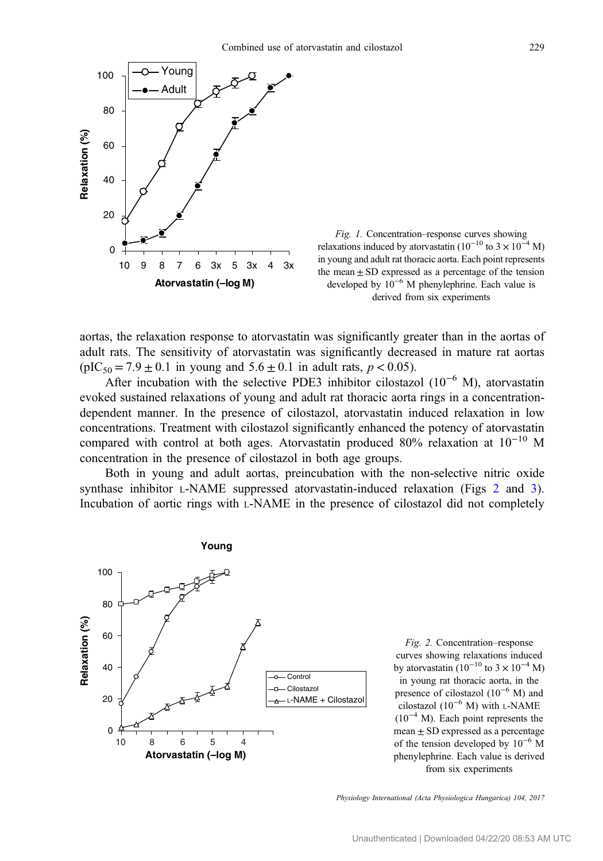<span id="page-3-0"></span>

Fig. 1. Concentration–response curves showing relaxations induced by atorvastatin (10<sup>-10</sup> to 3 × 10<sup>-4</sup> M) in young and adult rat thoracic aorta. Each point represents the mean  $\pm$  SD expressed as a percentage of the tension developed by 10−<sup>6</sup> M phenylephrine. Each value is derived from six experiments

aortas, the relaxation response to atorvastatin was significantly greater than in the aortas of adult rats. The sensitivity of atorvastatin was significantly decreased in mature rat aortas  $(pIC_{50} = 7.9 \pm 0.1$  in young and  $5.6 \pm 0.1$  in adult rats,  $p < 0.05$ ).

After incubation with the selective PDE3 inhibitor cilostazol (10<sup>-6</sup> M), atorvastatin evoked sustained relaxations of young and adult rat thoracic aorta rings in a concentrationdependent manner. In the presence of cilostazol, atorvastatin induced relaxation in low concentrations. Treatment with cilostazol significantly enhanced the potency of atorvastatin compared with control at both ages. Atorvastatin produced 80% relaxation at 10−<sup>10</sup> M concentration in the presence of cilostazol in both age groups.

Both in young and adult aortas, preincubation with the non-selective nitric oxide synthase inhibitor L-NAME suppressed atorvastatin-induced relaxation (Figs 2 and [3](#page-4-0)). Incubation of aortic rings with L-NAME in the presence of cilostazol did not completely



Fig. 2. Concentration–response curves showing relaxations induced by atorvastatin  $(10^{-10}$  to  $3 \times 10^{-4}$  M) in young rat thoracic aorta, in the presence of cilostazol (10−<sup>6</sup> M) and cilostazol (10−<sup>6</sup> M) with L-NAME  $(10^{-4}$  M). Each point represents the  $mean \pm SD$  expressed as a percentage of the tension developed by 10−<sup>6</sup> M phenylephrine. Each value is derived from six experiments

Physiology International (Acta Physiologica Hungarica) 104, 2017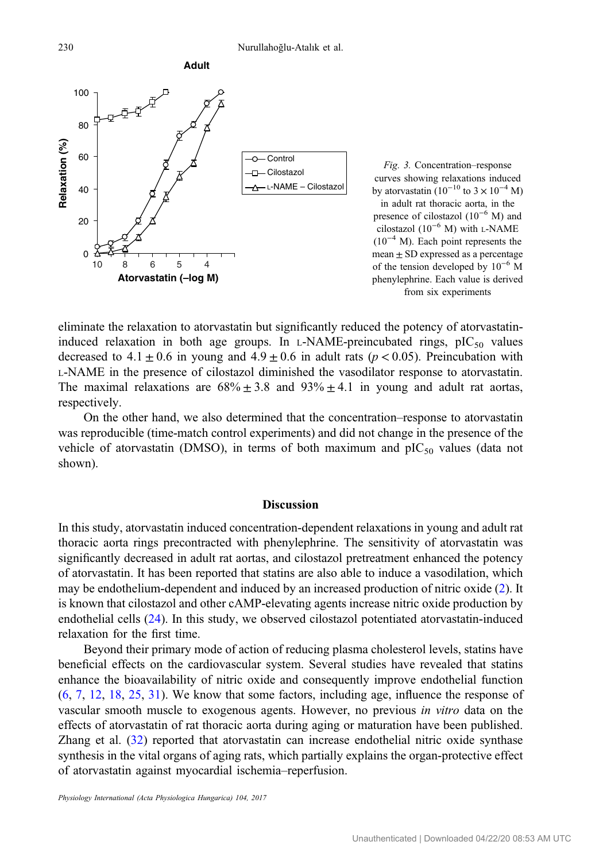<span id="page-4-0"></span>

Fig. 3. Concentration–response curves showing relaxations induced by atorvastatin  $(10^{-10}$  to  $3 \times 10^{-4}$  M) in adult rat thoracic aorta, in the presence of cilostazol (10−<sup>6</sup> M) and cilostazol (10−<sup>6</sup> M) with L-NAME  $(10^{-4}$  M). Each point represents the  $mean \pm SD$  expressed as a percentage of the tension developed by 10−<sup>6</sup> M phenylephrine. Each value is derived from six experiments

eliminate the relaxation to atorvastatin but significantly reduced the potency of atorvastatininduced relaxation in both age groups. In L-NAME-preincubated rings,  $pIC_{50}$  values decreased to  $4.1 \pm 0.6$  in young and  $4.9 \pm 0.6$  in adult rats ( $p < 0.05$ ). Preincubation with L-NAME in the presence of cilostazol diminished the vasodilator response to atorvastatin. The maximal relaxations are  $68\% \pm 3.8$  and  $93\% \pm 4.1$  in young and adult rat aortas, respectively.

On the other hand, we also determined that the concentration–response to atorvastatin was reproducible (time-match control experiments) and did not change in the presence of the vehicle of atorvastatin (DMSO), in terms of both maximum and  $\text{pIC}_{50}$  values (data not shown).

#### **Discussion**

In this study, atorvastatin induced concentration-dependent relaxations in young and adult rat thoracic aorta rings precontracted with phenylephrine. The sensitivity of atorvastatin was significantly decreased in adult rat aortas, and cilostazol pretreatment enhanced the potency of atorvastatin. It has been reported that statins are also able to induce a vasodilation, which may be endothelium-dependent and induced by an increased production of nitric oxide [\(2](#page-7-0)). It is known that cilostazol and other cAMP-elevating agents increase nitric oxide production by endothelial cells [\(24](#page-8-0)). In this study, we observed cilostazol potentiated atorvastatin-induced relaxation for the first time.

Beyond their primary mode of action of reducing plasma cholesterol levels, statins have beneficial effects on the cardiovascular system. Several studies have revealed that statins enhance the bioavailability of nitric oxide and consequently improve endothelial function [\(6](#page-7-0), [7,](#page-7-0) [12](#page-7-0), [18,](#page-7-0) [25,](#page-8-0) [31](#page-8-0)). We know that some factors, including age, influence the response of vascular smooth muscle to exogenous agents. However, no previous in vitro data on the effects of atorvastatin of rat thoracic aorta during aging or maturation have been published. Zhang et al. [\(32](#page-8-0)) reported that atorvastatin can increase endothelial nitric oxide synthase synthesis in the vital organs of aging rats, which partially explains the organ-protective effect of atorvastatin against myocardial ischemia–reperfusion.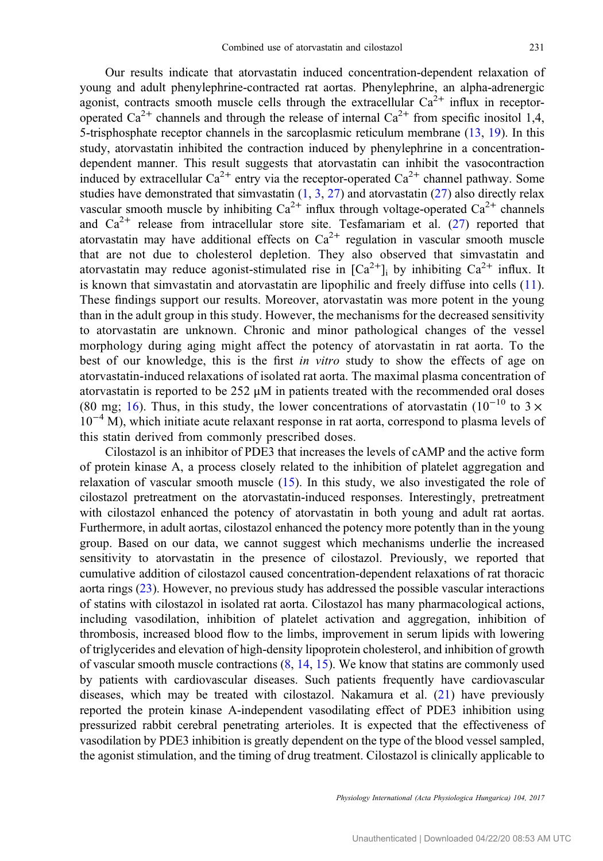Our results indicate that atorvastatin induced concentration-dependent relaxation of young and adult phenylephrine-contracted rat aortas. Phenylephrine, an alpha-adrenergic agonist, contracts smooth muscle cells through the extracellular  $Ca^{2+}$  influx in receptoroperated  $Ca^{2+}$  channels and through the release of internal  $Ca^{2+}$  from specific inositol 1,4, 5-trisphosphate receptor channels in the sarcoplasmic reticulum membrane [\(13](#page-7-0), [19\)](#page-7-0). In this study, atorvastatin inhibited the contraction induced by phenylephrine in a concentrationdependent manner. This result suggests that atorvastatin can inhibit the vasocontraction induced by extracellular  $Ca^{2+}$  entry via the receptor-operated  $Ca^{2+}$  channel pathway. Some studies have demonstrated that simvastatin  $(1, 3, 27)$  $(1, 3, 27)$  $(1, 3, 27)$  $(1, 3, 27)$  $(1, 3, 27)$  $(1, 3, 27)$  and atorvastatin  $(27)$  $(27)$  also directly relax vascular smooth muscle by inhibiting  $Ca^{2+}$  influx through voltage-operated  $Ca^{2+}$  channels and  $Ca^{2+}$  release from intracellular store site. Tesfamariam et al.  $(27)$  $(27)$  reported that atorvastatin may have additional effects on  $Ca^{2+}$  regulation in vascular smooth muscle that are not due to cholesterol depletion. They also observed that simvastatin and atorvastatin may reduce agonist-stimulated rise in  $[Ca^{2+}]$ ; by inhibiting  $Ca^{2+}$  influx. It is known that simvastatin and atorvastatin are lipophilic and freely diffuse into cells ([11](#page-7-0)). These findings support our results. Moreover, atorvastatin was more potent in the young than in the adult group in this study. However, the mechanisms for the decreased sensitivity to atorvastatin are unknown. Chronic and minor pathological changes of the vessel morphology during aging might affect the potency of atorvastatin in rat aorta. To the best of our knowledge, this is the first in vitro study to show the effects of age on atorvastatin-induced relaxations of isolated rat aorta. The maximal plasma concentration of atorvastatin is reported to be  $252 \mu M$  in patients treated with the recommended oral doses (80 mg; [16\)](#page-7-0). Thus, in this study, the lower concentrations of atorvastatin (10<sup>-10</sup> to 3  $\times$ 10−<sup>4</sup> M), which initiate acute relaxant response in rat aorta, correspond to plasma levels of this statin derived from commonly prescribed doses.

Cilostazol is an inhibitor of PDE3 that increases the levels of cAMP and the active form of protein kinase A, a process closely related to the inhibition of platelet aggregation and relaxation of vascular smooth muscle ([15\)](#page-7-0). In this study, we also investigated the role of cilostazol pretreatment on the atorvastatin-induced responses. Interestingly, pretreatment with cilostazol enhanced the potency of atorvastatin in both young and adult rat aortas. Furthermore, in adult aortas, cilostazol enhanced the potency more potently than in the young group. Based on our data, we cannot suggest which mechanisms underlie the increased sensitivity to atorvastatin in the presence of cilostazol. Previously, we reported that cumulative addition of cilostazol caused concentration-dependent relaxations of rat thoracic aorta rings [\(23](#page-8-0)). However, no previous study has addressed the possible vascular interactions of statins with cilostazol in isolated rat aorta. Cilostazol has many pharmacological actions, including vasodilation, inhibition of platelet activation and aggregation, inhibition of thrombosis, increased blood flow to the limbs, improvement in serum lipids with lowering of triglycerides and elevation of high-density lipoprotein cholesterol, and inhibition of growth of vascular smooth muscle contractions ([8,](#page-7-0) [14,](#page-7-0) [15](#page-7-0)). We know that statins are commonly used by patients with cardiovascular diseases. Such patients frequently have cardiovascular diseases, which may be treated with cilostazol. Nakamura et al. ([21\)](#page-7-0) have previously reported the protein kinase A-independent vasodilating effect of PDE3 inhibition using pressurized rabbit cerebral penetrating arterioles. It is expected that the effectiveness of vasodilation by PDE3 inhibition is greatly dependent on the type of the blood vessel sampled, the agonist stimulation, and the timing of drug treatment. Cilostazol is clinically applicable to

Physiology International (Acta Physiologica Hungarica) 104, 2017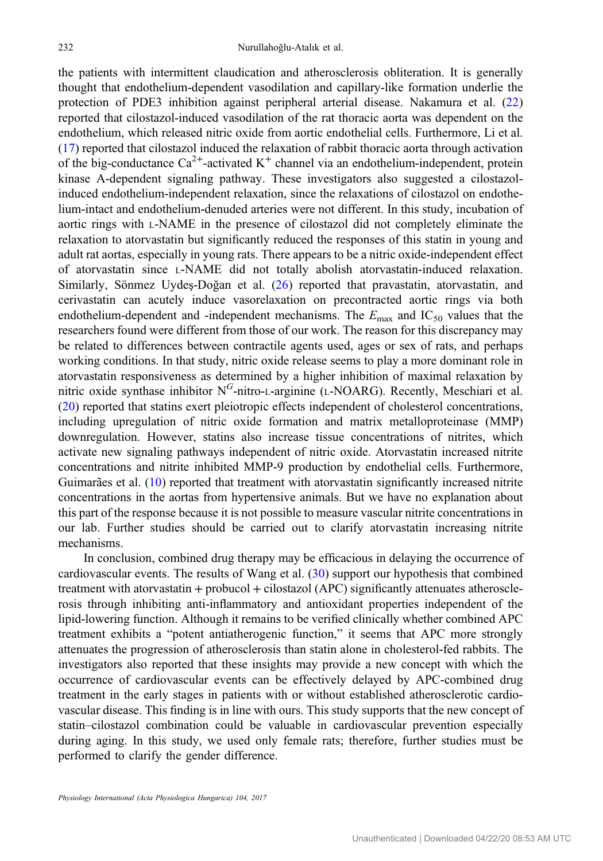the patients with intermittent claudication and atherosclerosis obliteration. It is generally thought that endothelium-dependent vasodilation and capillary-like formation underlie the protection of PDE3 inhibition against peripheral arterial disease. Nakamura et al. ([22\)](#page-8-0) reported that cilostazol-induced vasodilation of the rat thoracic aorta was dependent on the endothelium, which released nitric oxide from aortic endothelial cells. Furthermore, Li et al. [\(17](#page-7-0)) reported that cilostazol induced the relaxation of rabbit thoracic aorta through activation of the big-conductance  $Ca^{2+}$ -activated  $K^+$  channel via an endothelium-independent, protein kinase A-dependent signaling pathway. These investigators also suggested a cilostazolinduced endothelium-independent relaxation, since the relaxations of cilostazol on endothelium-intact and endothelium-denuded arteries were not different. In this study, incubation of aortic rings with L-NAME in the presence of cilostazol did not completely eliminate the relaxation to atorvastatin but significantly reduced the responses of this statin in young and adult rat aortas, especially in young rats. There appears to be a nitric oxide-independent effect of atorvastatin since L-NAME did not totally abolish atorvastatin-induced relaxation. Similarly, Sönmez Uydeş-Doğan et al. ([26\)](#page-8-0) reported that pravastatin, atorvastatin, and cerivastatin can acutely induce vasorelaxation on precontracted aortic rings via both endothelium-dependent and -independent mechanisms. The  $E_{\text{max}}$  and  $IC_{50}$  values that the researchers found were different from those of our work. The reason for this discrepancy may be related to differences between contractile agents used, ages or sex of rats, and perhaps working conditions. In that study, nitric oxide release seems to play a more dominant role in atorvastatin responsiveness as determined by a higher inhibition of maximal relaxation by nitric oxide synthase inhibitor  $N^G$ -nitro-L-arginine (L-NOARG). Recently, Meschiari et al. [\(20](#page-7-0)) reported that statins exert pleiotropic effects independent of cholesterol concentrations, including upregulation of nitric oxide formation and matrix metalloproteinase (MMP) downregulation. However, statins also increase tissue concentrations of nitrites, which activate new signaling pathways independent of nitric oxide. Atorvastatin increased nitrite concentrations and nitrite inhibited MMP-9 production by endothelial cells. Furthermore, Guimarães et al. ([10\)](#page-7-0) reported that treatment with atorvastatin significantly increased nitrite concentrations in the aortas from hypertensive animals. But we have no explanation about this part of the response because it is not possible to measure vascular nitrite concentrations in our lab. Further studies should be carried out to clarify atorvastatin increasing nitrite mechanisms.

In conclusion, combined drug therapy may be efficacious in delaying the occurrence of cardiovascular events. The results of Wang et al. ([30](#page-8-0)) support our hypothesis that combined treatment with atorvastatin + probucol + cilostazol (APC) significantly attenuates atherosclerosis through inhibiting anti-inflammatory and antioxidant properties independent of the lipid-lowering function. Although it remains to be verified clinically whether combined APC treatment exhibits a "potent antiatherogenic function," it seems that APC more strongly attenuates the progression of atherosclerosis than statin alone in cholesterol-fed rabbits. The investigators also reported that these insights may provide a new concept with which the occurrence of cardiovascular events can be effectively delayed by APC-combined drug treatment in the early stages in patients with or without established atherosclerotic cardiovascular disease. This finding is in line with ours. This study supports that the new concept of statin–cilostazol combination could be valuable in cardiovascular prevention especially during aging. In this study, we used only female rats; therefore, further studies must be performed to clarify the gender difference.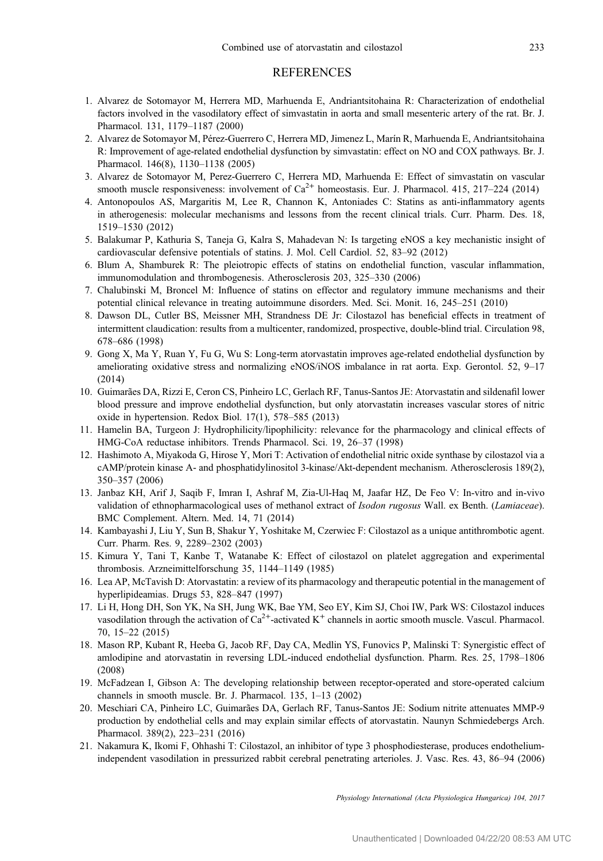### **REFERENCES**

- <span id="page-7-0"></span>1. Alvarez de Sotomayor M, Herrera MD, Marhuenda E, Andriantsitohaina R: Characterization of endothelial factors involved in the vasodilatory effect of simvastatin in aorta and small mesenteric artery of the rat. Br. J. Pharmacol. 131, 1179–1187 (2000)
- 2. Alvarez de Sotomayor M, Pérez-Guerrero C, Herrera MD, Jimenez L, Marín R, Marhuenda E, Andriantsitohaina R: Improvement of age-related endothelial dysfunction by simvastatin: effect on NO and COX pathways. Br. J. Pharmacol. 146(8), 1130–1138 (2005)
- 3. Alvarez de Sotomayor M, Perez-Guerrero C, Herrera MD, Marhuenda E: Effect of simvastatin on vascular smooth muscle responsiveness: involvement of  $Ca^{2+}$  homeostasis. Eur. J. Pharmacol. 415, 217–224 (2014)
- 4. Antonopoulos AS, Margaritis M, Lee R, Channon K, Antoniades C: Statins as anti-inflammatory agents in atherogenesis: molecular mechanisms and lessons from the recent clinical trials. Curr. Pharm. Des. 18, 1519–1530 (2012)
- 5. Balakumar P, Kathuria S, Taneja G, Kalra S, Mahadevan N: Is targeting eNOS a key mechanistic insight of cardiovascular defensive potentials of statins. J. Mol. Cell Cardiol. 52, 83–92 (2012)
- 6. Blum A, Shamburek R: The pleiotropic effects of statins on endothelial function, vascular inflammation, immunomodulation and thrombogenesis. Atherosclerosis 203, 325–330 (2006)
- 7. Chalubinski M, Broncel M: Influence of statins on effector and regulatory immune mechanisms and their potential clinical relevance in treating autoimmune disorders. Med. Sci. Monit. 16, 245–251 (2010)
- 8. Dawson DL, Cutler BS, Meissner MH, Strandness DE Jr: Cilostazol has beneficial effects in treatment of intermittent claudication: results from a multicenter, randomized, prospective, double-blind trial. Circulation 98, 678–686 (1998)
- 9. Gong X, Ma Y, Ruan Y, Fu G, Wu S: Long-term atorvastatin improves age-related endothelial dysfunction by ameliorating oxidative stress and normalizing eNOS/iNOS imbalance in rat aorta. Exp. Gerontol. 52, 9–17 (2014)
- 10. Guimarães DA, Rizzi E, Ceron CS, Pinheiro LC, Gerlach RF, Tanus-Santos JE: Atorvastatin and sildenafil lower blood pressure and improve endothelial dysfunction, but only atorvastatin increases vascular stores of nitric oxide in hypertension. Redox Biol. 17(1), 578–585 (2013)
- 11. Hamelin BA, Turgeon J: Hydrophilicity/lipophilicity: relevance for the pharmacology and clinical effects of HMG-CoA reductase inhibitors. Trends Pharmacol. Sci. 19, 26–37 (1998)
- 12. Hashimoto A, Miyakoda G, Hirose Y, Mori T: Activation of endothelial nitric oxide synthase by cilostazol via a cAMP/protein kinase A- and phosphatidylinositol 3-kinase/Akt-dependent mechanism. Atherosclerosis 189(2), 350–357 (2006)
- 13. Janbaz KH, Arif J, Saqib F, Imran I, Ashraf M, Zia-Ul-Haq M, Jaafar HZ, De Feo V: In-vitro and in-vivo validation of ethnopharmacological uses of methanol extract of Isodon rugosus Wall. ex Benth. (Lamiaceae). BMC Complement. Altern. Med. 14, 71 (2014)
- 14. Kambayashi J, Liu Y, Sun B, Shakur Y, Yoshitake M, Czerwiec F: Cilostazol as a unique antithrombotic agent. Curr. Pharm. Res. 9, 2289–2302 (2003)
- 15. Kimura Y, Tani T, Kanbe T, Watanabe K: Effect of cilostazol on platelet aggregation and experimental thrombosis. Arzneimittelforschung 35, 1144–1149 (1985)
- 16. Lea AP, McTavish D: Atorvastatin: a review of its pharmacology and therapeutic potential in the management of hyperlipideamias. Drugs 53, 828–847 (1997)
- 17. Li H, Hong DH, Son YK, Na SH, Jung WK, Bae YM, Seo EY, Kim SJ, Choi IW, Park WS: Cilostazol induces vasodilation through the activation of  $Ca^{2+}$ -activated  $K^+$  channels in aortic smooth muscle. Vascul. Pharmacol. 70, 15–22 (2015)
- 18. Mason RP, Kubant R, Heeba G, Jacob RF, Day CA, Medlin YS, Funovics P, Malinski T: Synergistic effect of amlodipine and atorvastatin in reversing LDL-induced endothelial dysfunction. Pharm. Res. 25, 1798–1806 (2008)
- 19. McFadzean I, Gibson A: The developing relationship between receptor-operated and store-operated calcium channels in smooth muscle. Br. J. Pharmacol. 135, 1–13 (2002)
- 20. Meschiari CA, Pinheiro LC, Guimarães DA, Gerlach RF, Tanus-Santos JE: Sodium nitrite attenuates MMP-9 production by endothelial cells and may explain similar effects of atorvastatin. Naunyn Schmiedebergs Arch. Pharmacol. 389(2), 223–231 (2016)
- 21. Nakamura K, Ikomi F, Ohhashi T: Cilostazol, an inhibitor of type 3 phosphodiesterase, produces endotheliumindependent vasodilation in pressurized rabbit cerebral penetrating arterioles. J. Vasc. Res. 43, 86–94 (2006)

Physiology International (Acta Physiologica Hungarica) 104, 2017